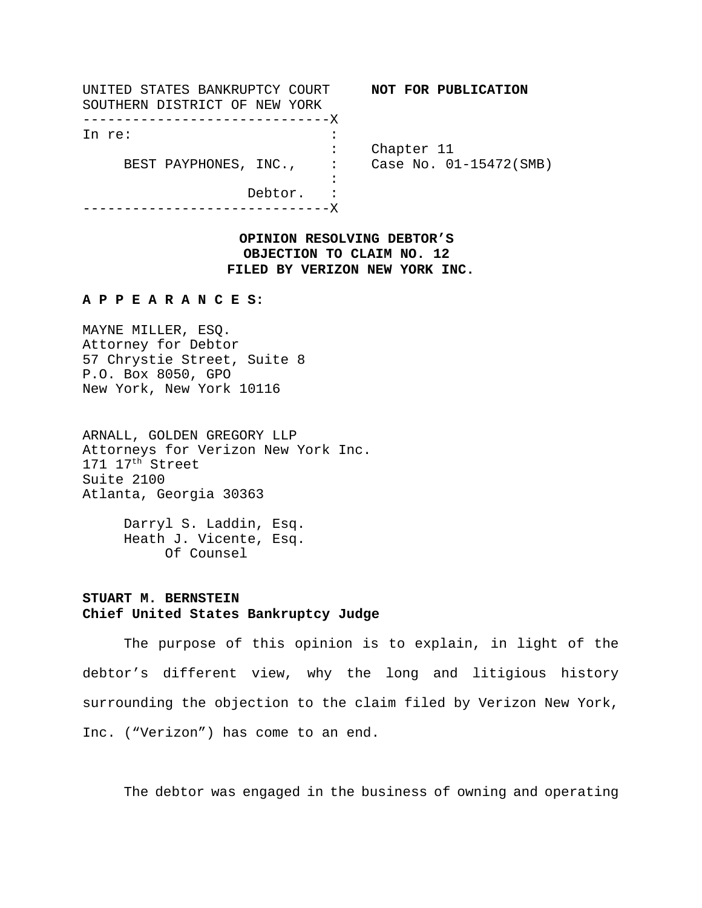| UNITED STATES BANKRUPTCY COURT |                                                       | NOT FOR PUBLICATION    |
|--------------------------------|-------------------------------------------------------|------------------------|
| SOUTHERN DISTRICT OF NEW YORK  |                                                       |                        |
| ---------------------------X   |                                                       |                        |
| In re:                         |                                                       |                        |
|                                | Chapter 11                                            |                        |
| BEST PAYPHONES, INC.,          | $\mathcal{L}_{\text{max}} = \mathcal{L}_{\text{max}}$ | Case No. 01-15472(SMB) |
|                                |                                                       |                        |
| Debtor.                        |                                                       |                        |
|                                |                                                       |                        |

**OPINION RESOLVING DEBTOR'S OBJECTION TO CLAIM NO. 12 FILED BY VERIZON NEW YORK INC.**

## **A P P E A R A N C E S:**

MAYNE MILLER, ESQ. Attorney for Debtor 57 Chrystie Street, Suite 8 P.O. Box 8050, GPO New York, New York 10116

ARNALL, GOLDEN GREGORY LLP Attorneys for Verizon New York Inc. 171 17th Street Suite 2100 Atlanta, Georgia 30363

> Darryl S. Laddin, Esq. Heath J. Vicente, Esq. Of Counsel

## **STUART M. BERNSTEIN Chief United States Bankruptcy Judge**

The purpose of this opinion is to explain, in light of the debtor's different view, why the long and litigious history surrounding the objection to the claim filed by Verizon New York, Inc. ("Verizon") has come to an end.

The debtor was engaged in the business of owning and operating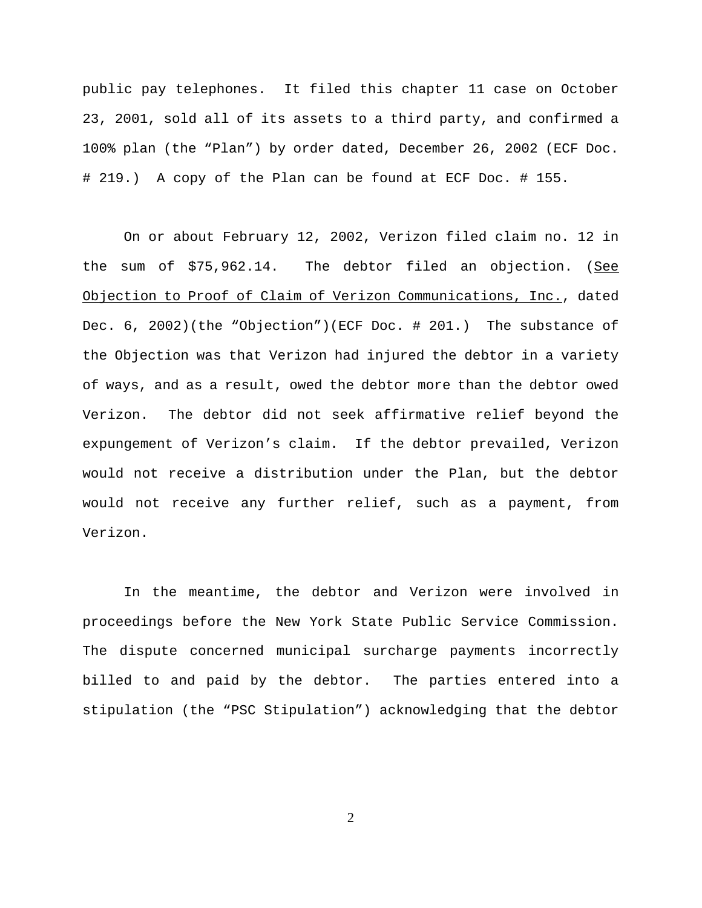public pay telephones. It filed this chapter 11 case on October 23, 2001, sold all of its assets to a third party, and confirmed a 100% plan (the "Plan") by order dated, December 26, 2002 (ECF Doc. # 219.) A copy of the Plan can be found at ECF Doc. # 155.

On or about February 12, 2002, Verizon filed claim no. 12 in the sum of  $$75,962.14$ . The debtor filed an objection. (See Objection to Proof of Claim of Verizon Communications, Inc., dated Dec. 6, 2002)(the "Objection")(ECF Doc. # 201.) The substance of the Objection was that Verizon had injured the debtor in a variety of ways, and as a result, owed the debtor more than the debtor owed Verizon. The debtor did not seek affirmative relief beyond the expungement of Verizon's claim. If the debtor prevailed, Verizon would not receive a distribution under the Plan, but the debtor would not receive any further relief, such as a payment, from Verizon.

In the meantime, the debtor and Verizon were involved in proceedings before the New York State Public Service Commission. The dispute concerned municipal surcharge payments incorrectly billed to and paid by the debtor. The parties entered into a stipulation (the "PSC Stipulation") acknowledging that the debtor

2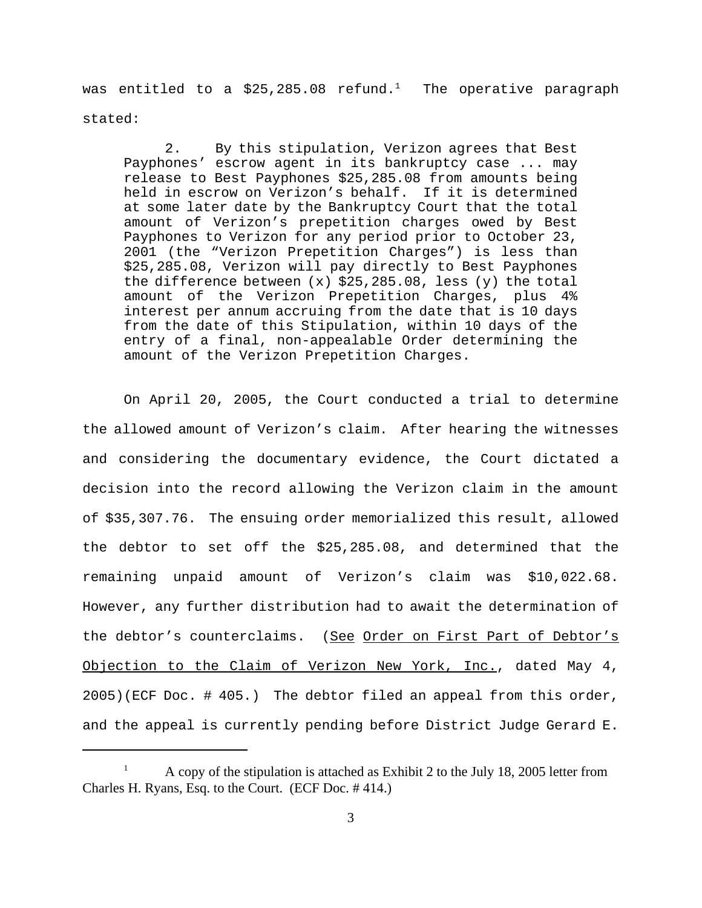was entitled to a \$25,285.08 refund.<sup>1</sup> The operative paragraph stated:

2. By this stipulation, Verizon agrees that Best Payphones' escrow agent in its bankruptcy case ... may release to Best Payphones \$25,285.08 from amounts being held in escrow on Verizon's behalf. If it is determined at some later date by the Bankruptcy Court that the total amount of Verizon's prepetition charges owed by Best Payphones to Verizon for any period prior to October 23, 2001 (the "Verizon Prepetition Charges") is less than \$25,285.08, Verizon will pay directly to Best Payphones the difference between  $(x)$  \$25,285.08, less  $(y)$  the total amount of the Verizon Prepetition Charges, plus 4% interest per annum accruing from the date that is 10 days from the date of this Stipulation, within 10 days of the entry of a final, non-appealable Order determining the amount of the Verizon Prepetition Charges.

On April 20, 2005, the Court conducted a trial to determine the allowed amount of Verizon's claim. After hearing the witnesses and considering the documentary evidence, the Court dictated a decision into the record allowing the Verizon claim in the amount of \$35,307.76. The ensuing order memorialized this result, allowed the debtor to set off the \$25,285.08, and determined that the remaining unpaid amount of Verizon's claim was \$10,022.68. However, any further distribution had to await the determination of the debtor's counterclaims. (See Order on First Part of Debtor's Objection to the Claim of Verizon New York, Inc., dated May 4, 2005)(ECF Doc. # 405.) The debtor filed an appeal from this order, and the appeal is currently pending before District Judge Gerard E.

<sup>1</sup> A copy of the stipulation is attached as Exhibit 2 to the July 18, 2005 letter from Charles H. Ryans, Esq. to the Court. (ECF Doc. # 414.)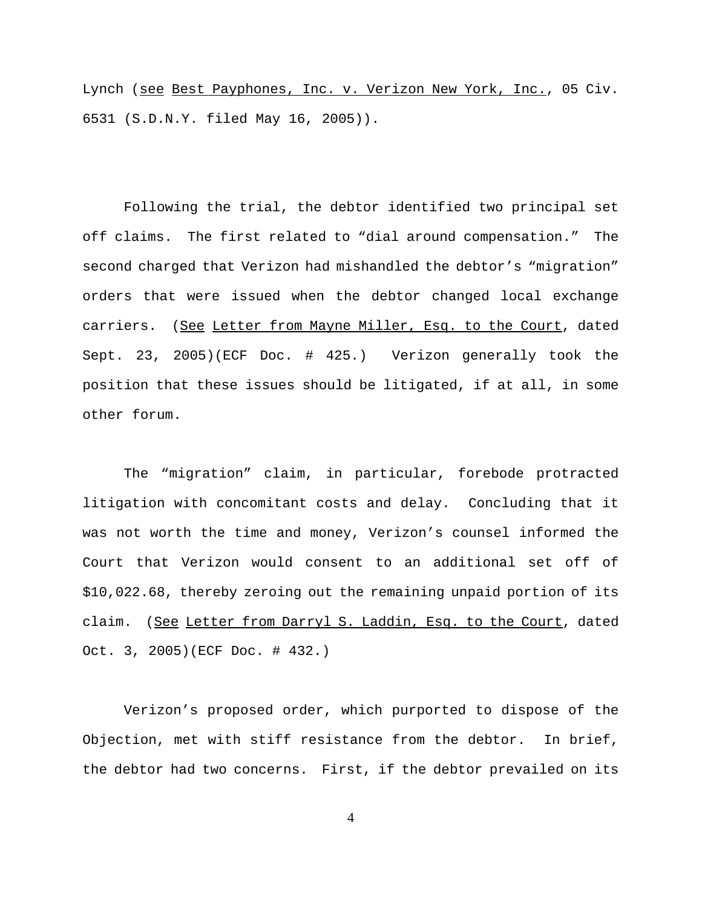Lynch (see Best Payphones, Inc. v. Verizon New York, Inc., 05 Civ. 6531 (S.D.N.Y. filed May 16, 2005)).

Following the trial, the debtor identified two principal set off claims. The first related to "dial around compensation." The second charged that Verizon had mishandled the debtor's "migration" orders that were issued when the debtor changed local exchange carriers. (See Letter from Mayne Miller, Esq. to the Court, dated Sept. 23, 2005)(ECF Doc. # 425.) Verizon generally took the position that these issues should be litigated, if at all, in some other forum.

The "migration" claim, in particular, forebode protracted litigation with concomitant costs and delay. Concluding that it was not worth the time and money, Verizon's counsel informed the Court that Verizon would consent to an additional set off of \$10,022.68, thereby zeroing out the remaining unpaid portion of its claim. (See Letter from Darryl S. Laddin, Esq. to the Court, dated Oct. 3, 2005)(ECF Doc. # 432.)

Verizon's proposed order, which purported to dispose of the Objection, met with stiff resistance from the debtor. In brief, the debtor had two concerns. First, if the debtor prevailed on its

4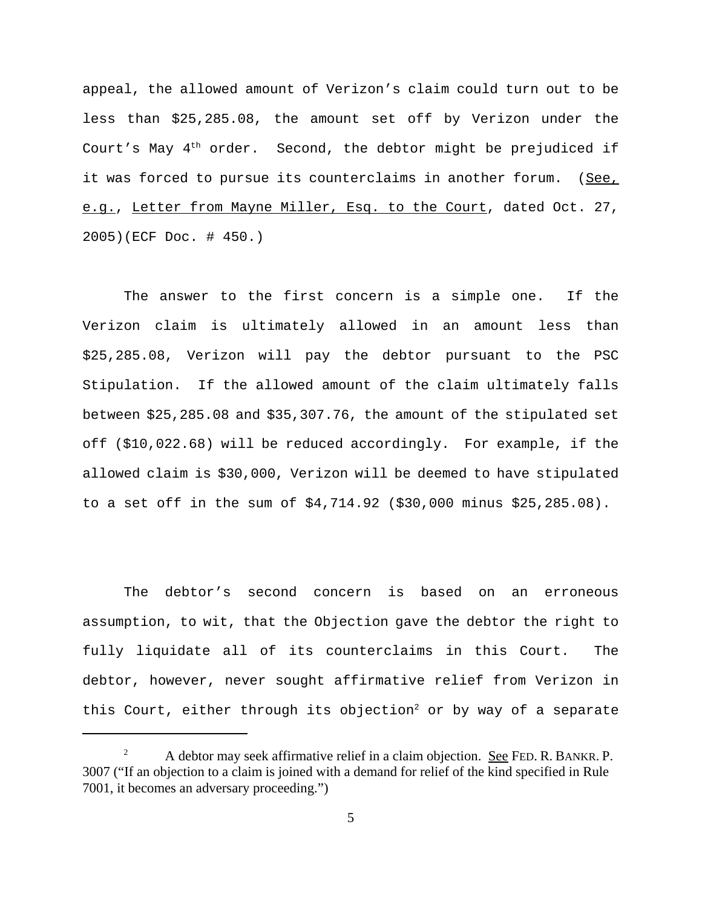appeal, the allowed amount of Verizon's claim could turn out to be less than \$25,285.08, the amount set off by Verizon under the Court's May  $4<sup>th</sup>$  order. Second, the debtor might be prejudiced if it was forced to pursue its counterclaims in another forum. (See, e.g., Letter from Mayne Miller, Esq. to the Court, dated Oct. 27, 2005)(ECF Doc. # 450.)

The answer to the first concern is a simple one. If the Verizon claim is ultimately allowed in an amount less than \$25,285.08, Verizon will pay the debtor pursuant to the PSC Stipulation. If the allowed amount of the claim ultimately falls between \$25,285.08 and \$35,307.76, the amount of the stipulated set off (\$10,022.68) will be reduced accordingly. For example, if the allowed claim is \$30,000, Verizon will be deemed to have stipulated to a set off in the sum of \$4,714.92 (\$30,000 minus \$25,285.08).

The debtor's second concern is based on an erroneous assumption, to wit, that the Objection gave the debtor the right to fully liquidate all of its counterclaims in this Court. The debtor, however, never sought affirmative relief from Verizon in this Court, either through its objection<sup>2</sup> or by way of a separate

<sup>&</sup>lt;sup>2</sup> A debtor may seek affirmative relief in a claim objection. See FED. R. BANKR. P. 3007 ("If an objection to a claim is joined with a demand for relief of the kind specified in Rule 7001, it becomes an adversary proceeding.")